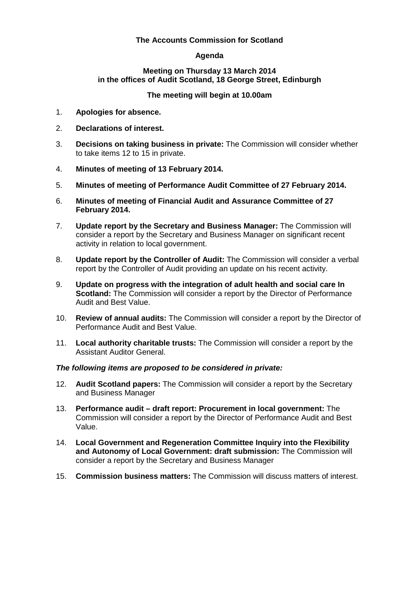# **The Accounts Commission for Scotland**

# **Agenda**

# **Meeting on Thursday 13 March 2014 in the offices of Audit Scotland, 18 George Street, Edinburgh**

# **The meeting will begin at 10.00am**

- 1. **Apologies for absence.**
- 2. **Declarations of interest.**
- 3. **Decisions on taking business in private:** The Commission will consider whether to take items 12 to 15 in private.
- 4. **Minutes of meeting of 13 February 2014.**
- 5. **Minutes of meeting of Performance Audit Committee of 27 February 2014.**
- 6. **Minutes of meeting of Financial Audit and Assurance Committee of 27 February 2014.**
- 7. **Update report by the Secretary and Business Manager:** The Commission will consider a report by the Secretary and Business Manager on significant recent activity in relation to local government.
- 8. **Update report by the Controller of Audit:** The Commission will consider a verbal report by the Controller of Audit providing an update on his recent activity.
- 9. **Update on progress with the integration of adult health and social care In Scotland:** The Commission will consider a report by the Director of Performance Audit and Best Value.
- 10. **Review of annual audits:** The Commission will consider a report by the Director of Performance Audit and Best Value.
- 11. **Local authority charitable trusts:** The Commission will consider a report by the Assistant Auditor General.

# *The following items are proposed to be considered in private:*

- 12. **Audit Scotland papers:** The Commission will consider a report by the Secretary and Business Manager
- 13. **Performance audit – draft report: Procurement in local government:** The Commission will consider a report by the Director of Performance Audit and Best Value.
- 14. **Local Government and Regeneration Committee Inquiry into the Flexibility and Autonomy of Local Government: draft submission:** The Commission will consider a report by the Secretary and Business Manager
- 15. **Commission business matters:** The Commission will discuss matters of interest.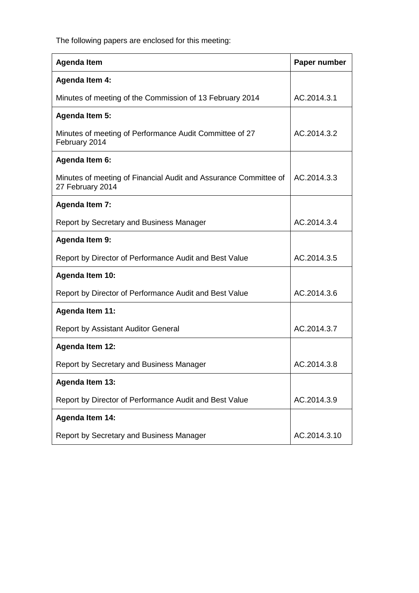The following papers are enclosed for this meeting:

| <b>Agenda Item</b>                                                                   | Paper number |
|--------------------------------------------------------------------------------------|--------------|
| <b>Agenda Item 4:</b>                                                                |              |
| Minutes of meeting of the Commission of 13 February 2014                             | AC.2014.3.1  |
| <b>Agenda Item 5:</b>                                                                |              |
| Minutes of meeting of Performance Audit Committee of 27<br>February 2014             | AC.2014.3.2  |
| <b>Agenda Item 6:</b>                                                                |              |
| Minutes of meeting of Financial Audit and Assurance Committee of<br>27 February 2014 | AC.2014.3.3  |
| <b>Agenda Item 7:</b>                                                                |              |
| Report by Secretary and Business Manager                                             | AC.2014.3.4  |
| <b>Agenda Item 9:</b>                                                                |              |
| Report by Director of Performance Audit and Best Value                               | AC.2014.3.5  |
| <b>Agenda Item 10:</b>                                                               |              |
| Report by Director of Performance Audit and Best Value                               | AC.2014.3.6  |
| <b>Agenda Item 11:</b>                                                               |              |
| <b>Report by Assistant Auditor General</b>                                           | AC.2014.3.7  |
| <b>Agenda Item 12:</b>                                                               |              |
| Report by Secretary and Business Manager                                             | AC.2014.3.8  |
| <b>Agenda Item 13:</b>                                                               |              |
| Report by Director of Performance Audit and Best Value                               | AC.2014.3.9  |
| <b>Agenda Item 14:</b>                                                               |              |
| Report by Secretary and Business Manager                                             | AC.2014.3.10 |